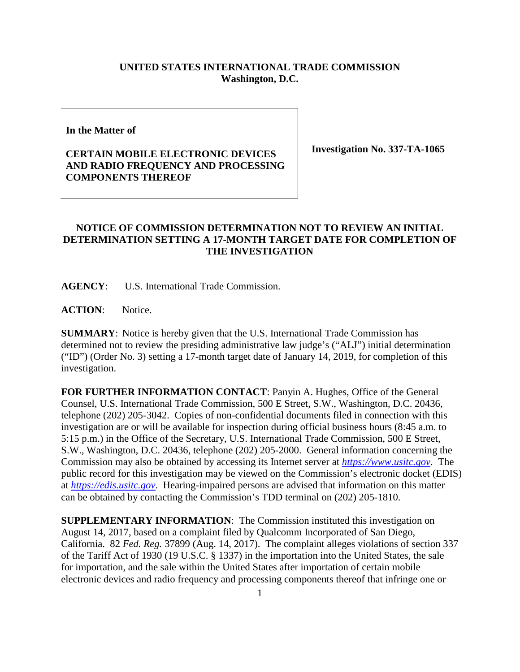## **UNITED STATES INTERNATIONAL TRADE COMMISSION Washington, D.C.**

**In the Matter of**

## **CERTAIN MOBILE ELECTRONIC DEVICES AND RADIO FREQUENCY AND PROCESSING COMPONENTS THEREOF**

**Investigation No. 337-TA-1065**

## **NOTICE OF COMMISSION DETERMINATION NOT TO REVIEW AN INITIAL DETERMINATION SETTING A 17-MONTH TARGET DATE FOR COMPLETION OF THE INVESTIGATION**

**AGENCY**: U.S. International Trade Commission.

**ACTION**: Notice.

**SUMMARY**: Notice is hereby given that the U.S. International Trade Commission has determined not to review the presiding administrative law judge's ("ALJ") initial determination ("ID") (Order No. 3) setting a 17-month target date of January 14, 2019, for completion of this investigation.

**FOR FURTHER INFORMATION CONTACT**: Panyin A. Hughes, Office of the General Counsel, U.S. International Trade Commission, 500 E Street, S.W., Washington, D.C. 20436, telephone (202) 205-3042. Copies of non-confidential documents filed in connection with this investigation are or will be available for inspection during official business hours (8:45 a.m. to 5:15 p.m.) in the Office of the Secretary, U.S. International Trade Commission, 500 E Street, S.W., Washington, D.C. 20436, telephone (202) 205-2000. General information concerning the Commission may also be obtained by accessing its Internet server at *[https://www.usitc.gov](https://www.usitc.gov/)*. The public record for this investigation may be viewed on the Commission's electronic docket (EDIS) at *[https://edis.usitc.gov](https://edis.usitc.gov/)*. Hearing-impaired persons are advised that information on this matter can be obtained by contacting the Commission's TDD terminal on (202) 205-1810.

**SUPPLEMENTARY INFORMATION**: The Commission instituted this investigation on August 14, 2017, based on a complaint filed by Qualcomm Incorporated of San Diego, California. 82 *Fed. Reg.* 37899 (Aug. 14, 2017). The complaint alleges violations of section 337 of the Tariff Act of 1930 (19 U.S.C. § 1337) in the importation into the United States, the sale for importation, and the sale within the United States after importation of certain mobile electronic devices and radio frequency and processing components thereof that infringe one or